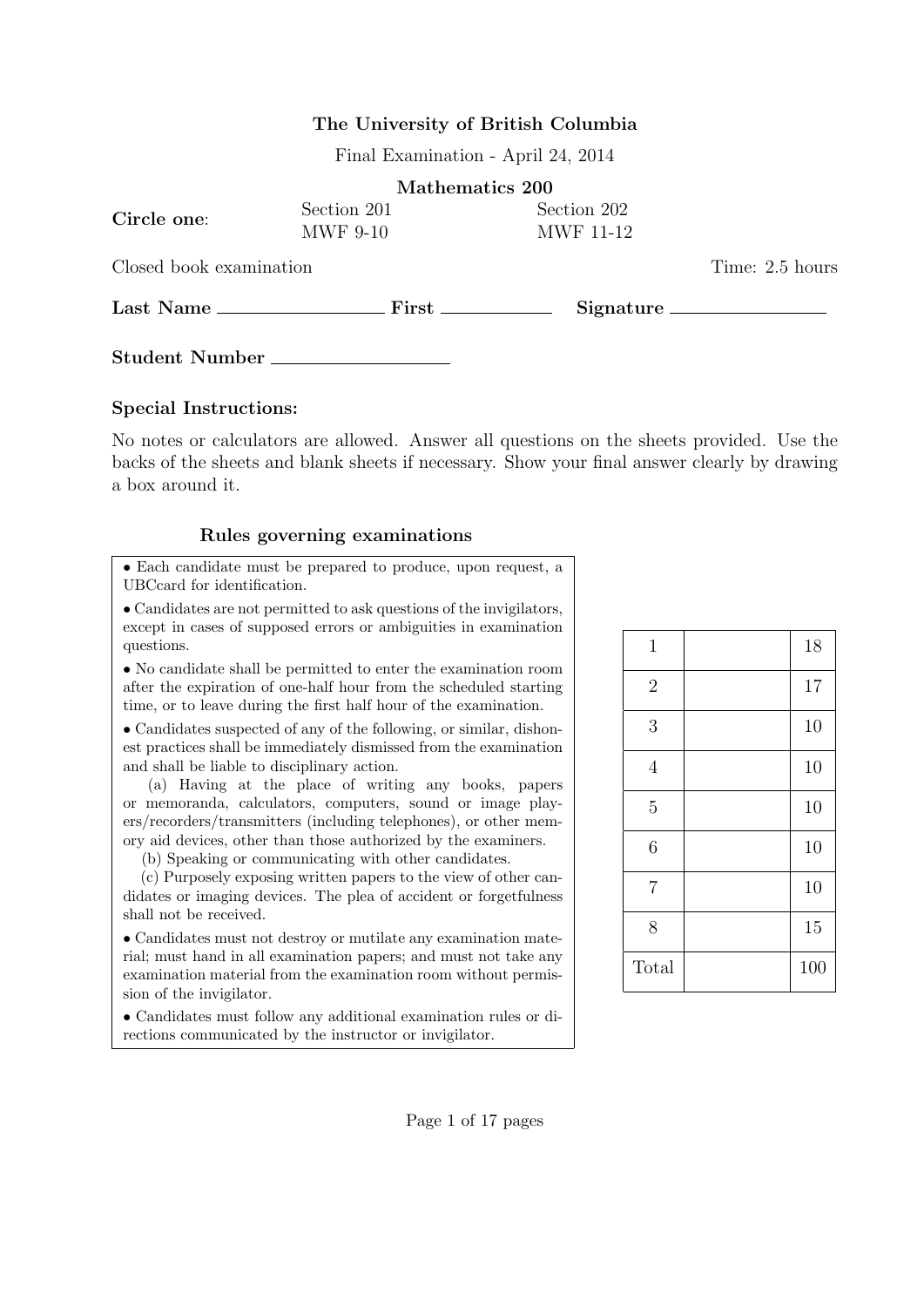## The University of British Columbia

Final Examination - April 24, 2014

|                         | Mathematics 200 |                  |                                |
|-------------------------|-----------------|------------------|--------------------------------|
| Circle one:             | Section 201     | Section 202      |                                |
|                         | <b>MWF 9-10</b> | <b>MWF</b> 11-12 |                                |
| Closed book examination |                 | Time: 2.5 hours  |                                |
|                         |                 |                  | $Signature \_\_\_\_\_\_\_\_\_$ |
|                         | Student Number  |                  |                                |

## Special Instructions:

No notes or calculators are allowed. Answer all questions on the sheets provided. Use the backs of the sheets and blank sheets if necessary. Show your final answer clearly by drawing a box around it.

## Rules governing examinations

• Each candidate must be prepared to produce, upon request, a UBCcard for identification.

• Candidates are not permitted to ask questions of the invigilators, except in cases of supposed errors or ambiguities in examination questions.

• No candidate shall be permitted to enter the examination room after the expiration of one-half hour from the scheduled starting time, or to leave during the first half hour of the examination.

• Candidates suspected of any of the following, or similar, dishonest practices shall be immediately dismissed from the examination and shall be liable to disciplinary action.

(a) Having at the place of writing any books, papers or memoranda, calculators, computers, sound or image players/recorders/transmitters (including telephones), or other memory aid devices, other than those authorized by the examiners.

(b) Speaking or communicating with other candidates.

(c) Purposely exposing written papers to the view of other candidates or imaging devices. The plea of accident or forgetfulness shall not be received.

• Candidates must not destroy or mutilate any examination material; must hand in all examination papers; and must not take any examination material from the examination room without permission of the invigilator.

• Candidates must follow any additional examination rules or directions communicated by the instructor or invigilator.

| $\mathbf{1}$   | 18  |
|----------------|-----|
| $\overline{2}$ | 17  |
| 3              | 10  |
| $\overline{4}$ | 10  |
| $\overline{5}$ | 10  |
| 6              | 10  |
| $\overline{7}$ | 10  |
| 8              | 15  |
| Total          | 100 |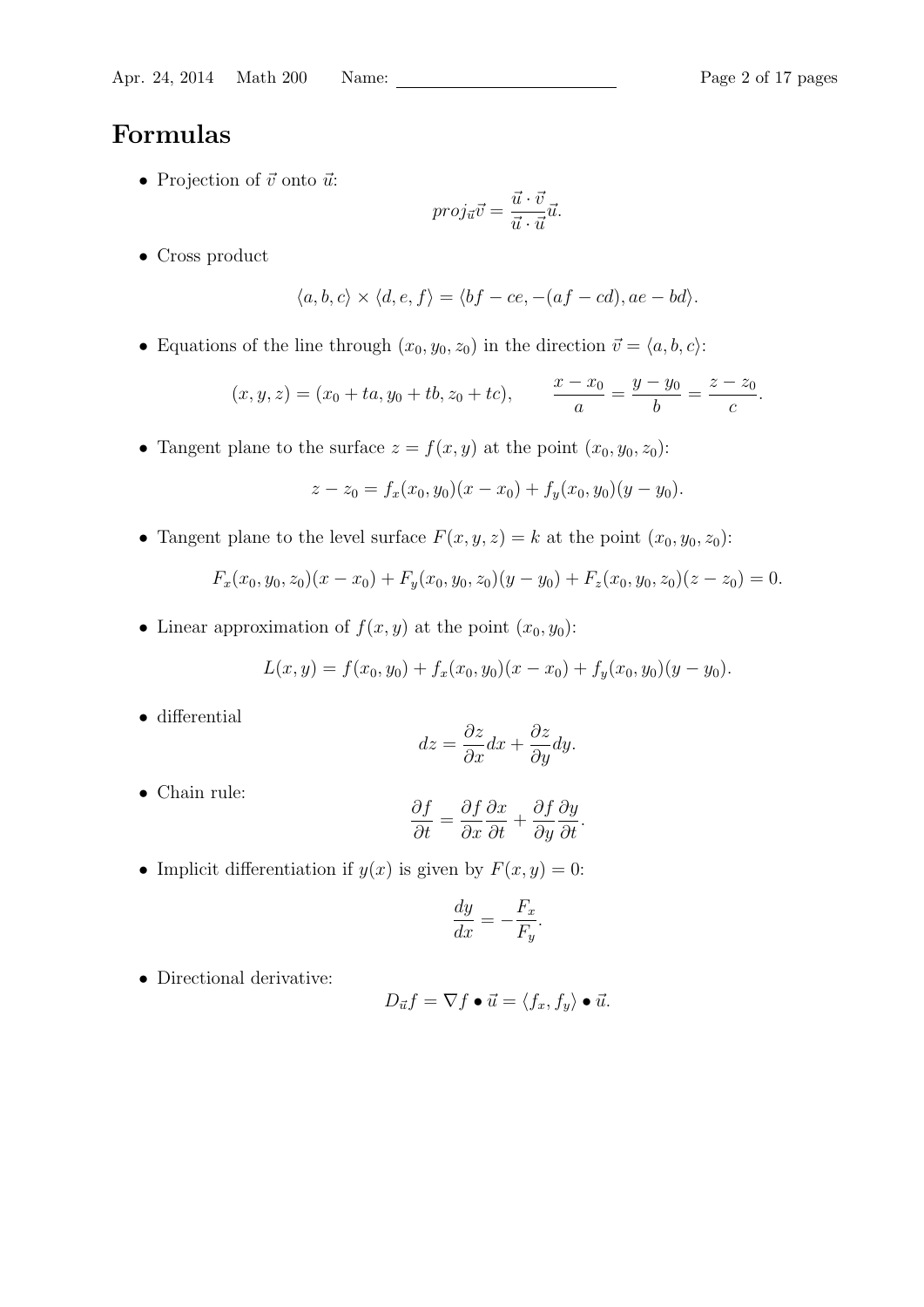## Formulas

• Projection of  $\vec{v}$  onto  $\vec{u}$ :

$$
proj_{\vec{u}}\vec{v} = \frac{\vec{u} \cdot \vec{v}}{\vec{u} \cdot \vec{u}}\vec{u}.
$$

• Cross product

$$
\langle a, b, c \rangle \times \langle d, e, f \rangle = \langle bf - ce, -(af - cd), ae - bd \rangle.
$$

• Equations of the line through  $(x_0, y_0, z_0)$  in the direction  $\vec{v} = \langle a, b, c \rangle$ :

$$
(x, y, z) = (x_0 + ta, y_0 + tb, z_0 + tc),
$$
 
$$
\frac{x - x_0}{a} = \frac{y - y_0}{b} = \frac{z - z_0}{c}.
$$

• Tangent plane to the surface  $z = f(x, y)$  at the point  $(x_0, y_0, z_0)$ :

$$
z - z_0 = f_x(x_0, y_0)(x - x_0) + f_y(x_0, y_0)(y - y_0).
$$

• Tangent plane to the level surface  $F(x, y, z) = k$  at the point  $(x_0, y_0, z_0)$ :

$$
F_x(x_0, y_0, z_0)(x - x_0) + F_y(x_0, y_0, z_0)(y - y_0) + F_z(x_0, y_0, z_0)(z - z_0) = 0.
$$

• Linear approximation of  $f(x, y)$  at the point  $(x_0, y_0)$ :

$$
L(x, y) = f(x_0, y_0) + f_x(x_0, y_0)(x - x_0) + f_y(x_0, y_0)(y - y_0).
$$

• differential

$$
dz = \frac{\partial z}{\partial x}dx + \frac{\partial z}{\partial y}dy.
$$

• Chain rule:

$$
\frac{\partial f}{\partial t} = \frac{\partial f}{\partial x}\frac{\partial x}{\partial t} + \frac{\partial f}{\partial y}\frac{\partial y}{\partial t}.
$$

• Implicit differentiation if  $y(x)$  is given by  $F(x, y) = 0$ :

$$
\frac{dy}{dx} = -\frac{F_x}{F_y}.
$$

• Directional derivative:

$$
D_{\vec{u}}f = \nabla f \bullet \vec{u} = \langle f_x, f_y \rangle \bullet \vec{u}.
$$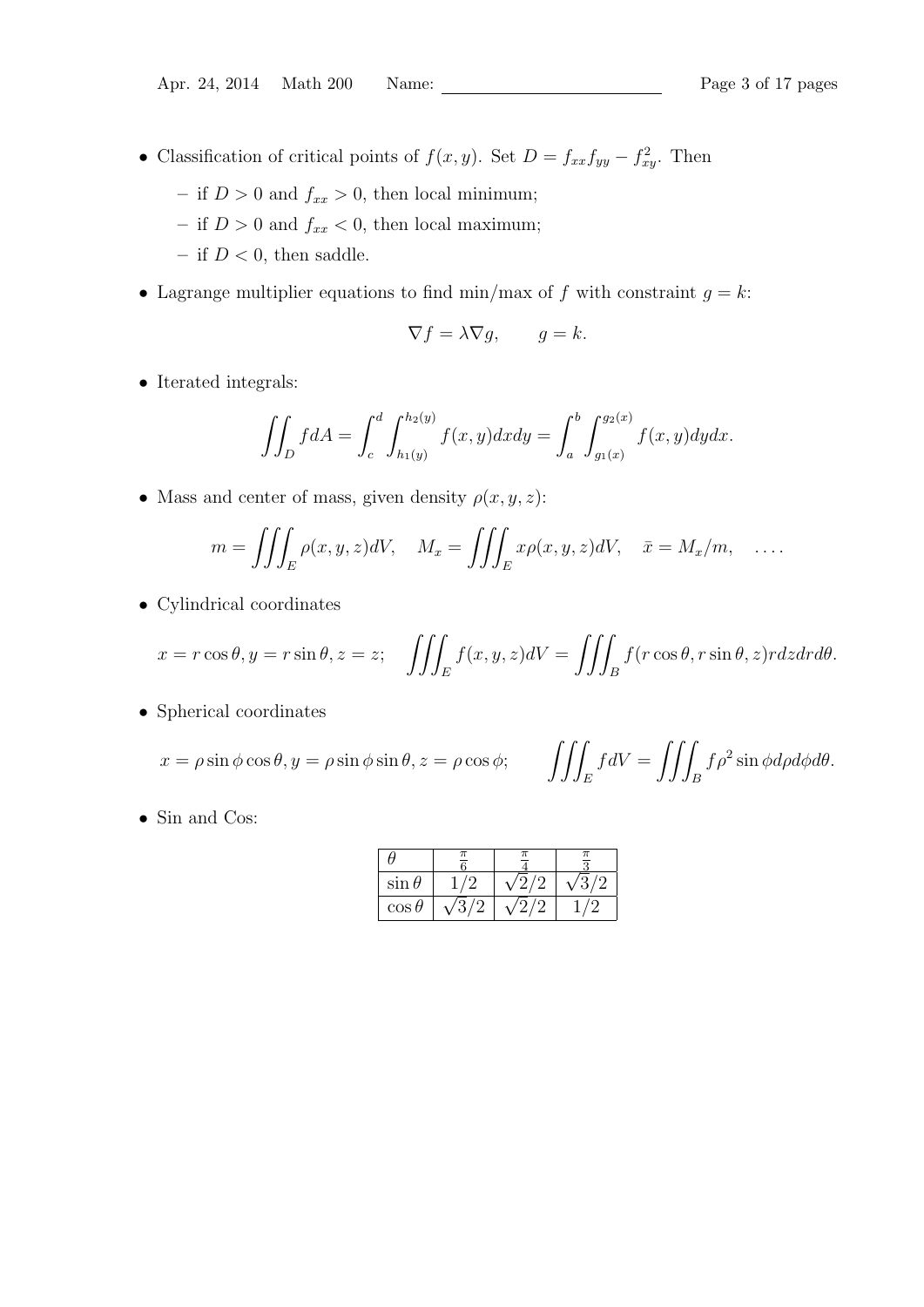- Classification of critical points of  $f(x, y)$ . Set  $D = f_{xx}f_{yy} f_{xy}^2$ . Then
	- if  $D > 0$  and  $f_{xx} > 0$ , then local minimum;
	- if  $D > 0$  and  $f_{xx} < 0$ , then local maximum;
	- if  $D < 0$ , then saddle.
- Lagrange multiplier equations to find min/max of f with constraint  $g = k$ :

$$
\nabla f = \lambda \nabla g, \qquad g = k.
$$

 $\bullet\,$  Iterated integrals:

$$
\iint_D f dA = \int_c^d \int_{h_1(y)}^{h_2(y)} f(x, y) dx dy = \int_a^b \int_{g_1(x)}^{g_2(x)} f(x, y) dy dx.
$$

• Mass and center of mass, given density  $\rho(x, y, z)$ :

$$
m = \iiint_E \rho(x, y, z)dV, \quad M_x = \iiint_E x\rho(x, y, z)dV, \quad \bar{x} = M_x/m, \quad \dots
$$

• Cylindrical coordinates

$$
x = r\cos\theta, y = r\sin\theta, z = z; \quad \iiint_E f(x, y, z)dV = \iiint_B f(r\cos\theta, r\sin\theta, z)rdzdrd\theta.
$$

• Spherical coordinates

$$
x = \rho \sin \phi \cos \theta, y = \rho \sin \phi \sin \theta, z = \rho \cos \phi;
$$

$$
\iiint_E f dV = \iiint_B f \rho^2 \sin \phi d\rho d\phi d\theta.
$$

• Sin and Cos:

| $\sin \theta$ |  |  |
|---------------|--|--|
| $\cos\theta$  |  |  |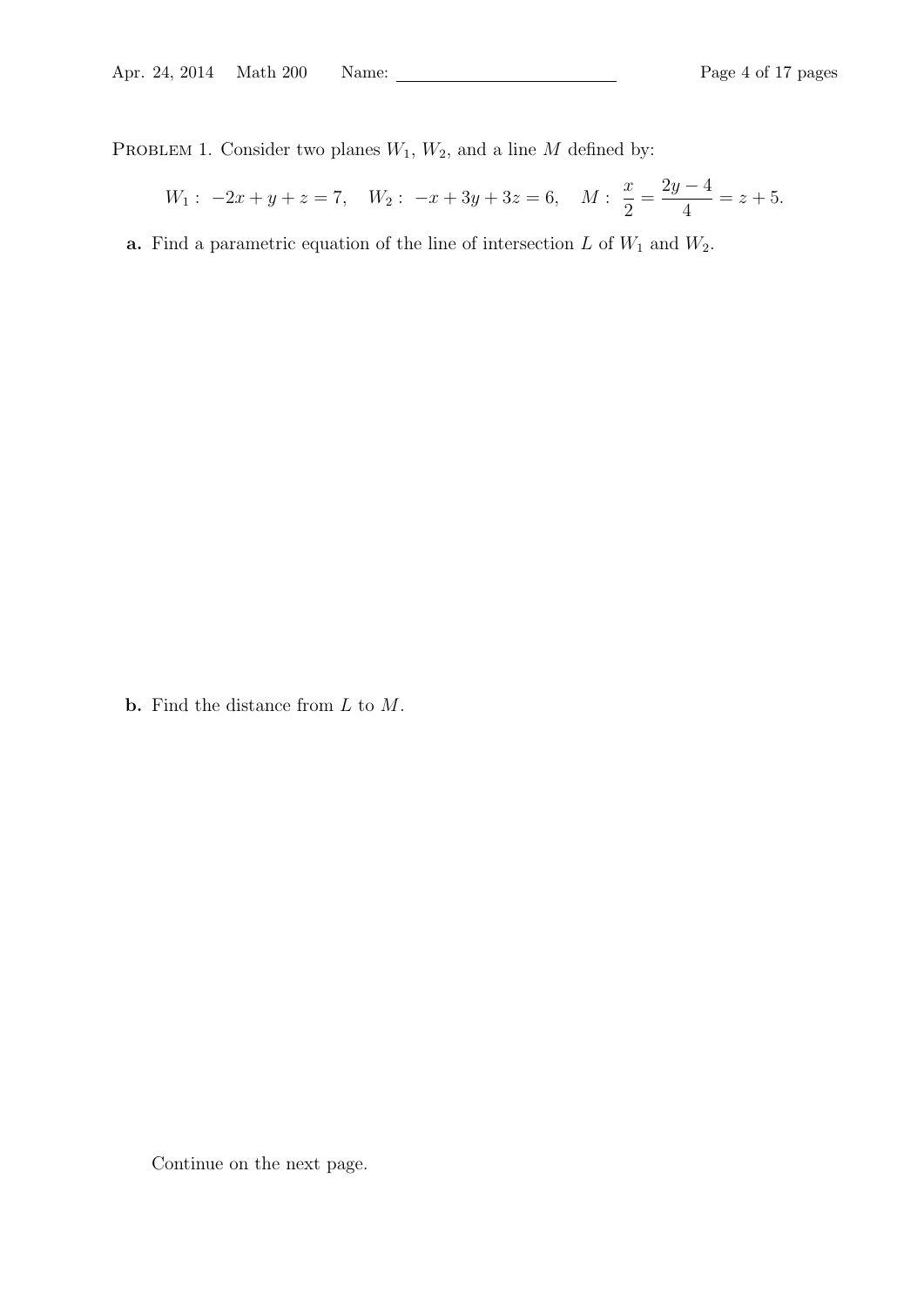PROBLEM 1. Consider two planes  $W_1$ ,  $W_2$ , and a line M defined by:

$$
W_1: -2x + y + z = 7
$$
,  $W_2: -x + 3y + 3z = 6$ ,  $M: \frac{x}{2} = \frac{2y - 4}{4} = z + 5$ .

**a.** Find a parametric equation of the line of intersection  $L$  of  $W_1$  and  $W_2$ .

**b.** Find the distance from  $L$  to  $M$ .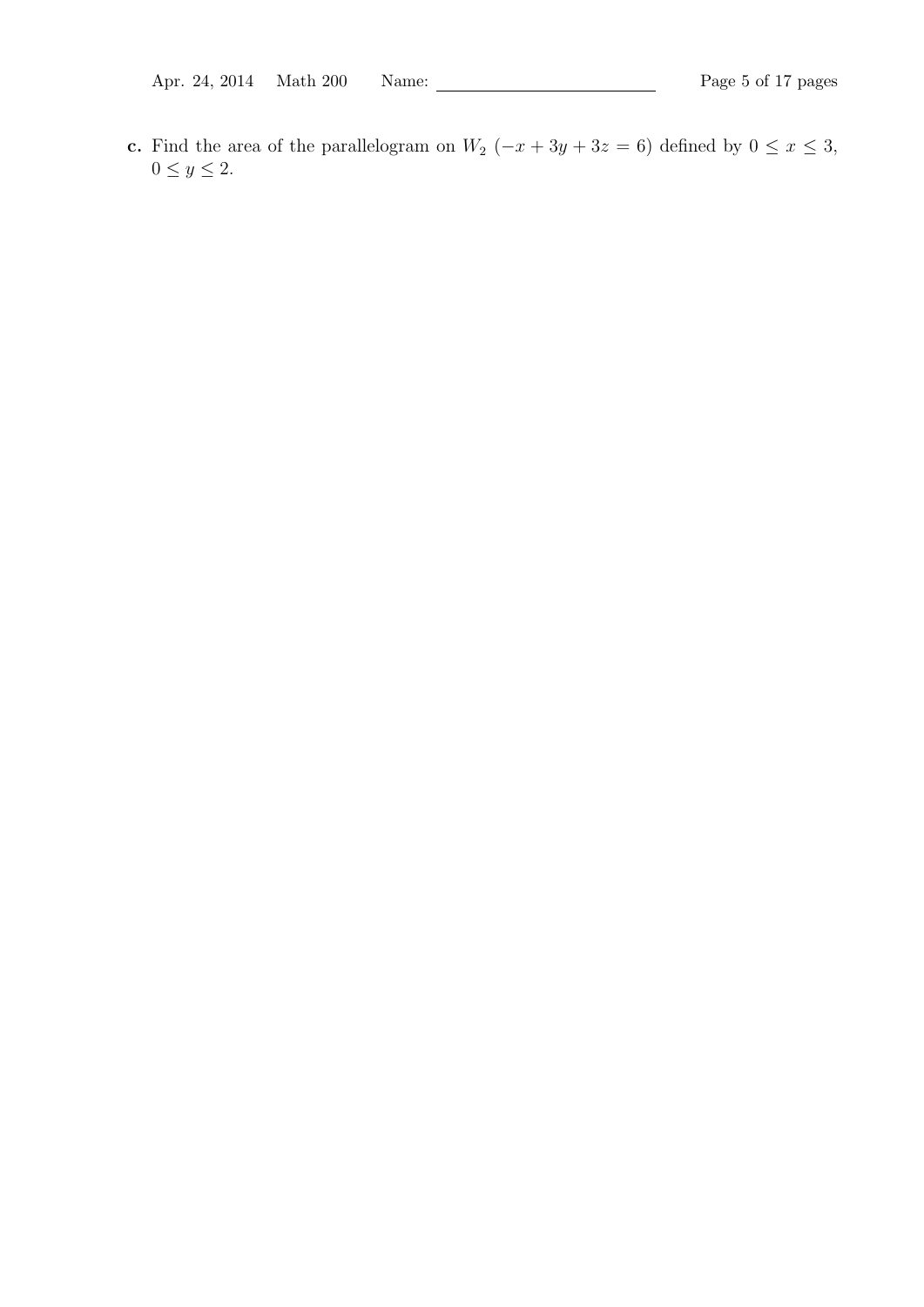c. Find the area of the parallelogram on  $W_2$  ( $-x + 3y + 3z = 6$ ) defined by  $0 \le x \le 3$ ,  $0 \le y \le 2$ .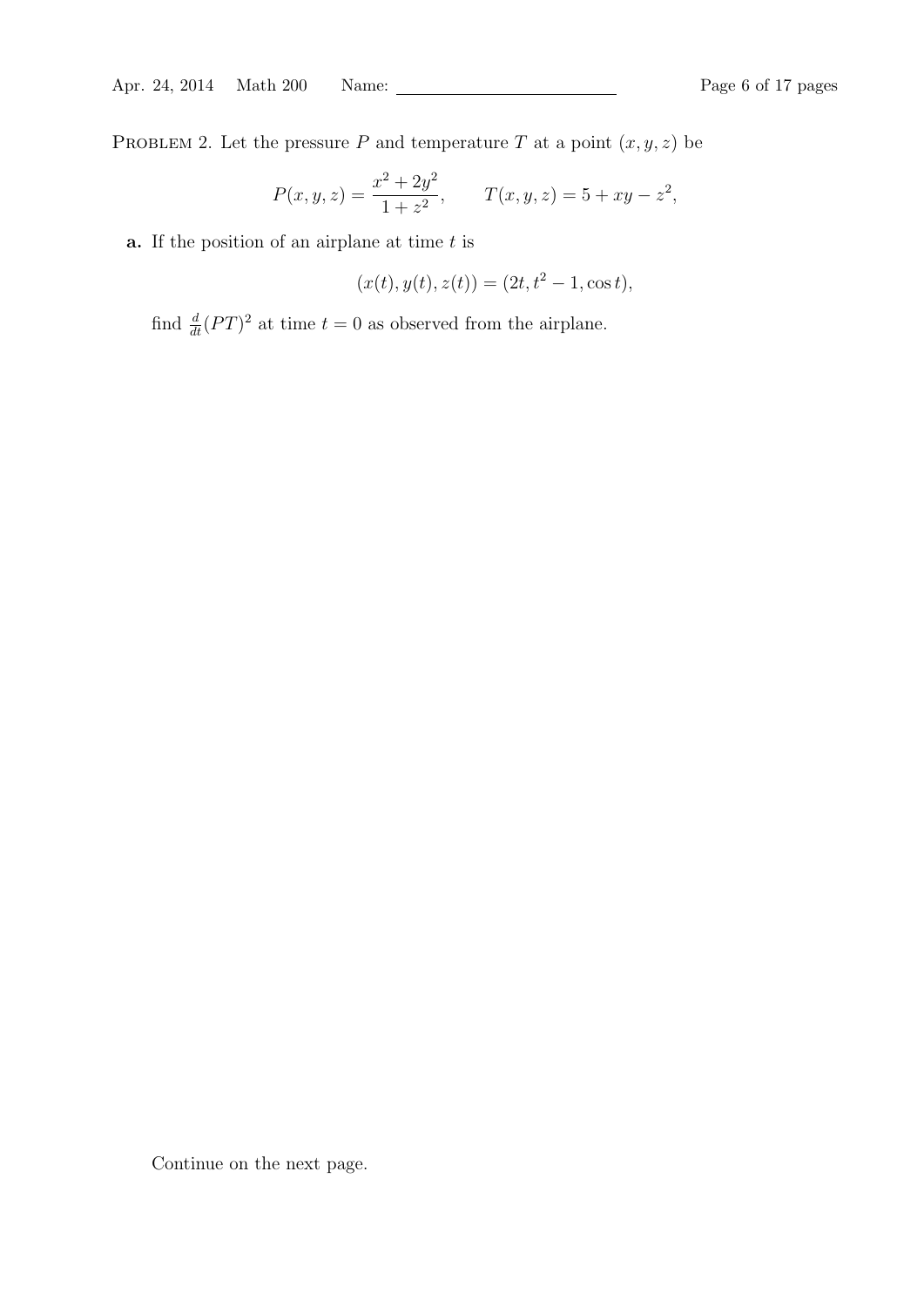PROBLEM 2. Let the pressure P and temperature T at a point  $(x, y, z)$  be

$$
P(x, y, z) = \frac{x^2 + 2y^2}{1 + z^2}, \qquad T(x, y, z) = 5 + xy - z^2,
$$

**a.** If the position of an airplane at time  $t$  is

$$
(x(t), y(t), z(t)) = (2t, t2 - 1, \cos t),
$$

find  $\frac{d}{dt}(PT)^2$  at time  $t = 0$  as observed from the airplane.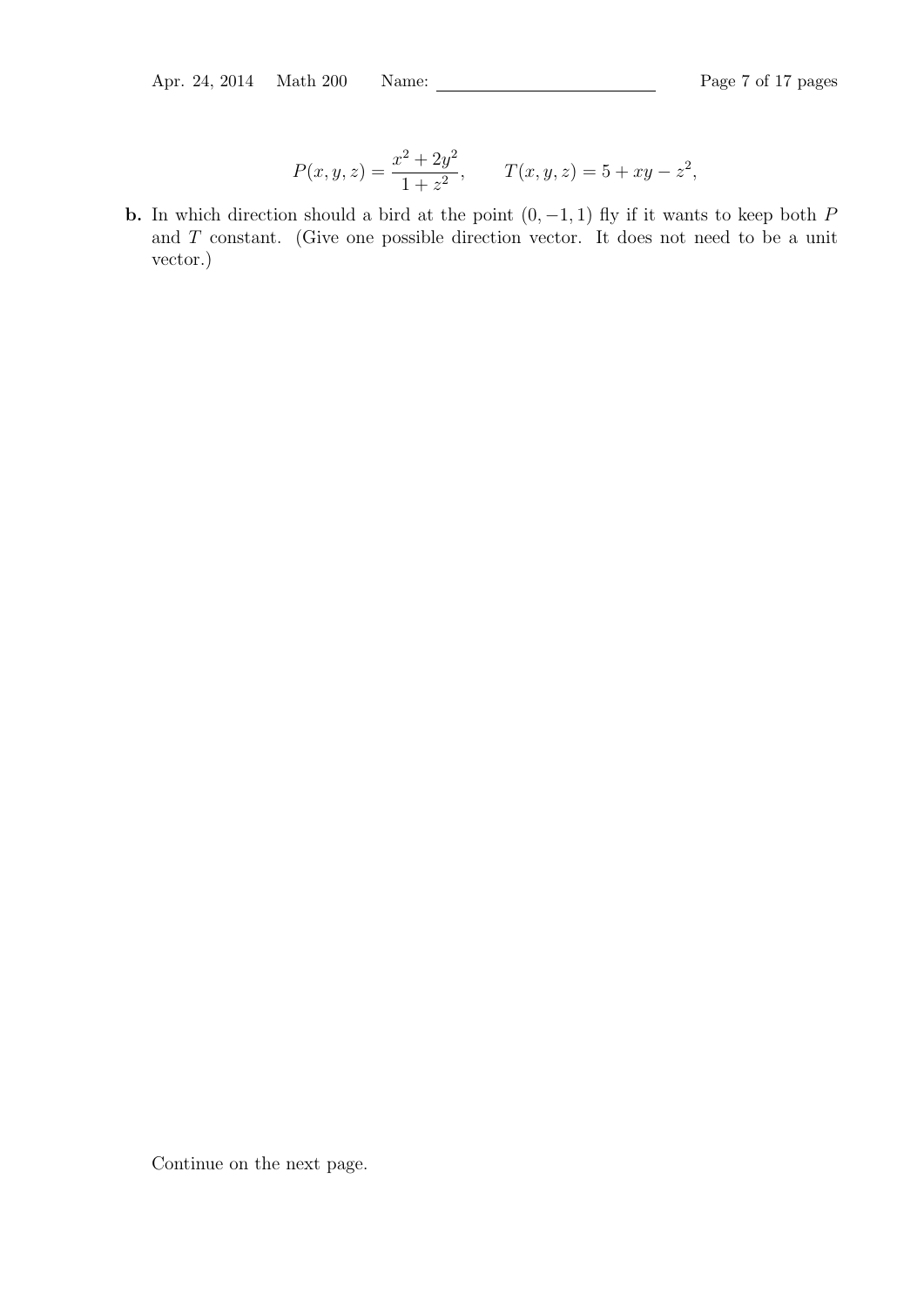$$
P(x, y, z) = \frac{x^2 + 2y^2}{1 + z^2}, \qquad T(x, y, z) = 5 + xy - z^2,
$$

**b.** In which direction should a bird at the point  $(0, -1, 1)$  fly if it wants to keep both P and T constant. (Give one possible direction vector. It does not need to be a unit vector.)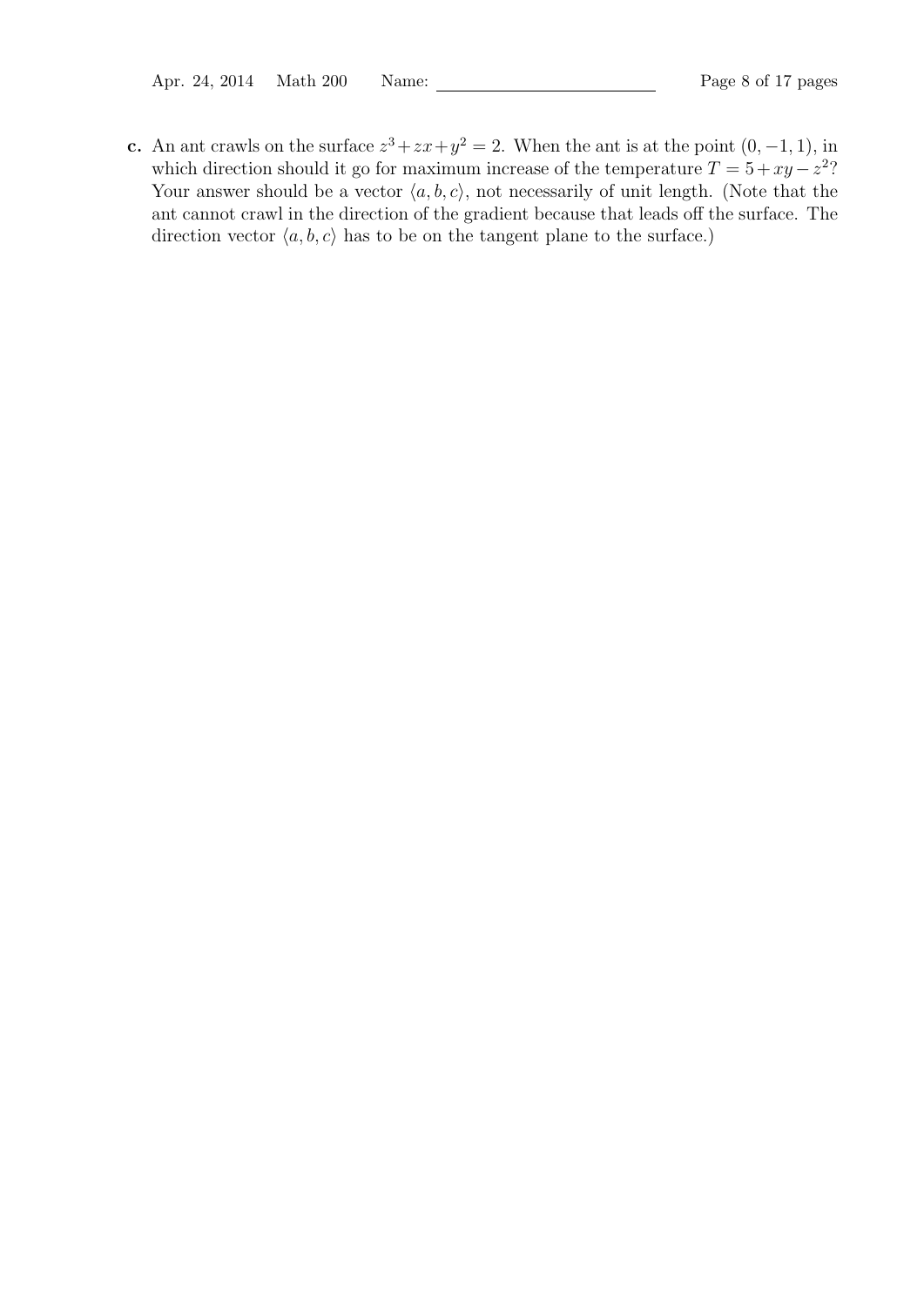c. An ant crawls on the surface  $z^3 + zx + y^2 = 2$ . When the ant is at the point  $(0, -1, 1)$ , in which direction should it go for maximum increase of the temperature  $T = 5 + xy - z^2$ ? Your answer should be a vector  $\langle a, b, c \rangle$ , not necessarily of unit length. (Note that the ant cannot crawl in the direction of the gradient because that leads off the surface. The direction vector  $\langle a, b, c \rangle$  has to be on the tangent plane to the surface.)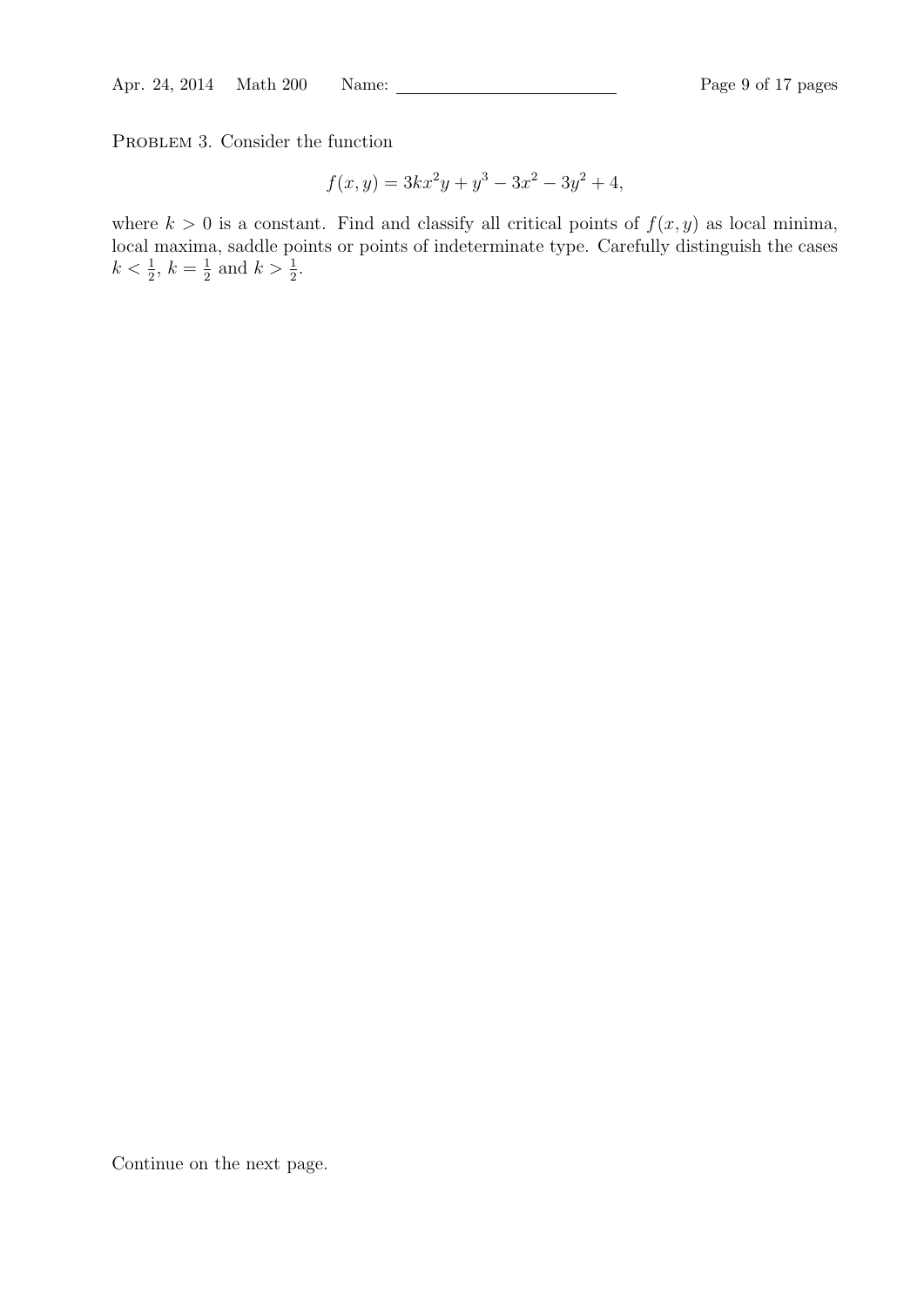PROBLEM 3. Consider the function

$$
f(x, y) = 3kx^2y + y^3 - 3x^2 - 3y^2 + 4,
$$

where  $k > 0$  is a constant. Find and classify all critical points of  $f(x, y)$  as local minima, local maxima, saddle points or points of indeterminate type. Carefully distinguish the cases  $k < \frac{1}{2}, k = \frac{1}{2}$  $\frac{1}{2}$  and  $k > \frac{1}{2}$ .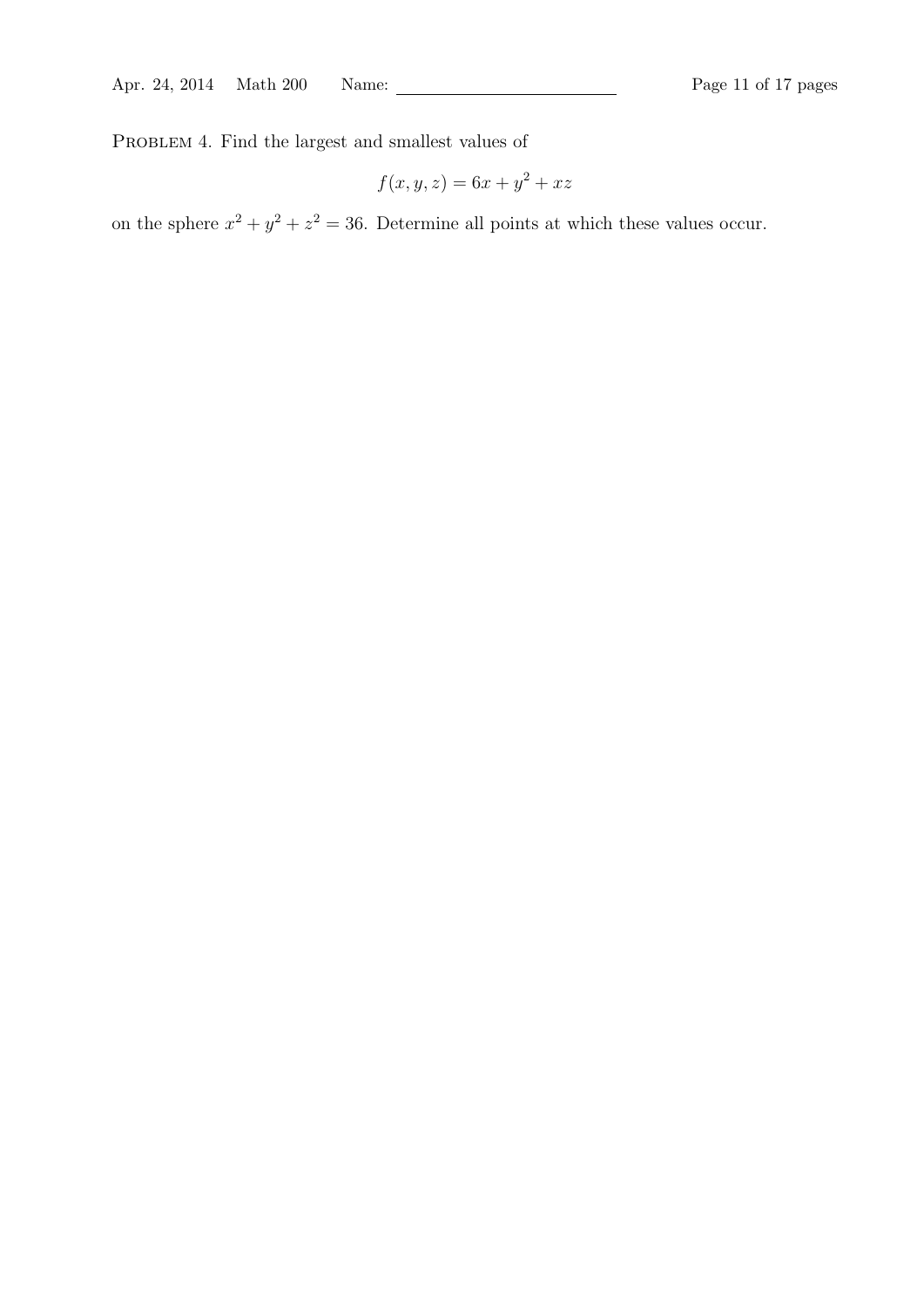PROBLEM 4. Find the largest and smallest values of

$$
f(x, y, z) = 6x + y^2 + xz
$$

on the sphere  $x^2 + y^2 + z^2 = 36$ . Determine all points at which these values occur.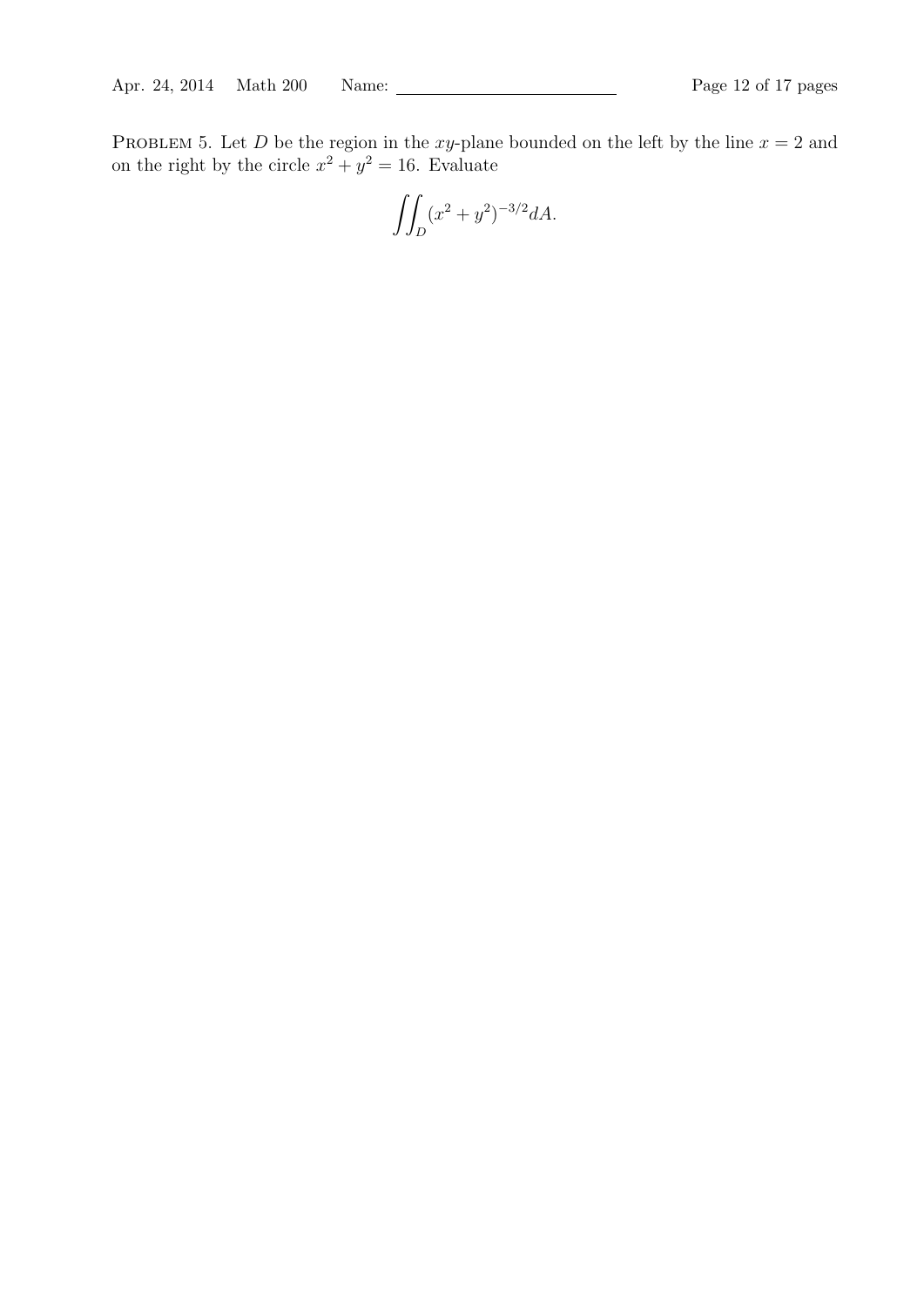PROBLEM 5. Let D be the region in the xy-plane bounded on the left by the line  $x = 2$  and on the right by the circle  $x^2 + y^2 = 16$ . Evaluate

$$
\iint_D (x^2 + y^2)^{-3/2} dA.
$$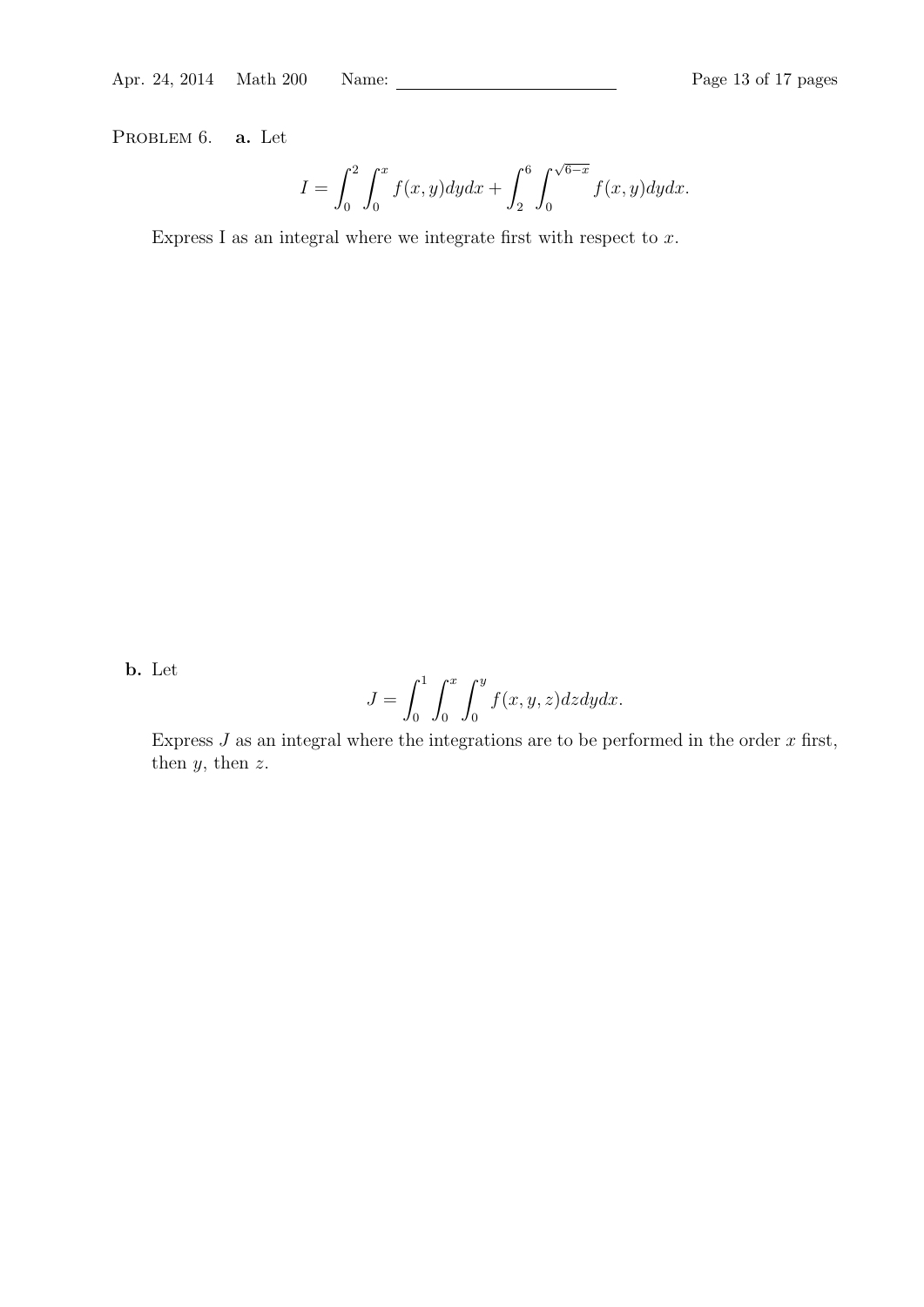PROBLEM 6. **a.** Let

$$
I = \int_0^2 \int_0^x f(x, y) dy dx + \int_2^6 \int_0^{\sqrt{6-x}} f(x, y) dy dx.
$$

Express I as an integral where we integrate first with respect to  $x$ .

b. Let

$$
J = \int_0^1 \int_0^x \int_0^y f(x, y, z) dz dy dx.
$$

Express  $J$  as an integral where the integrations are to be performed in the order  $x$  first, then  $y$ , then  $z$ .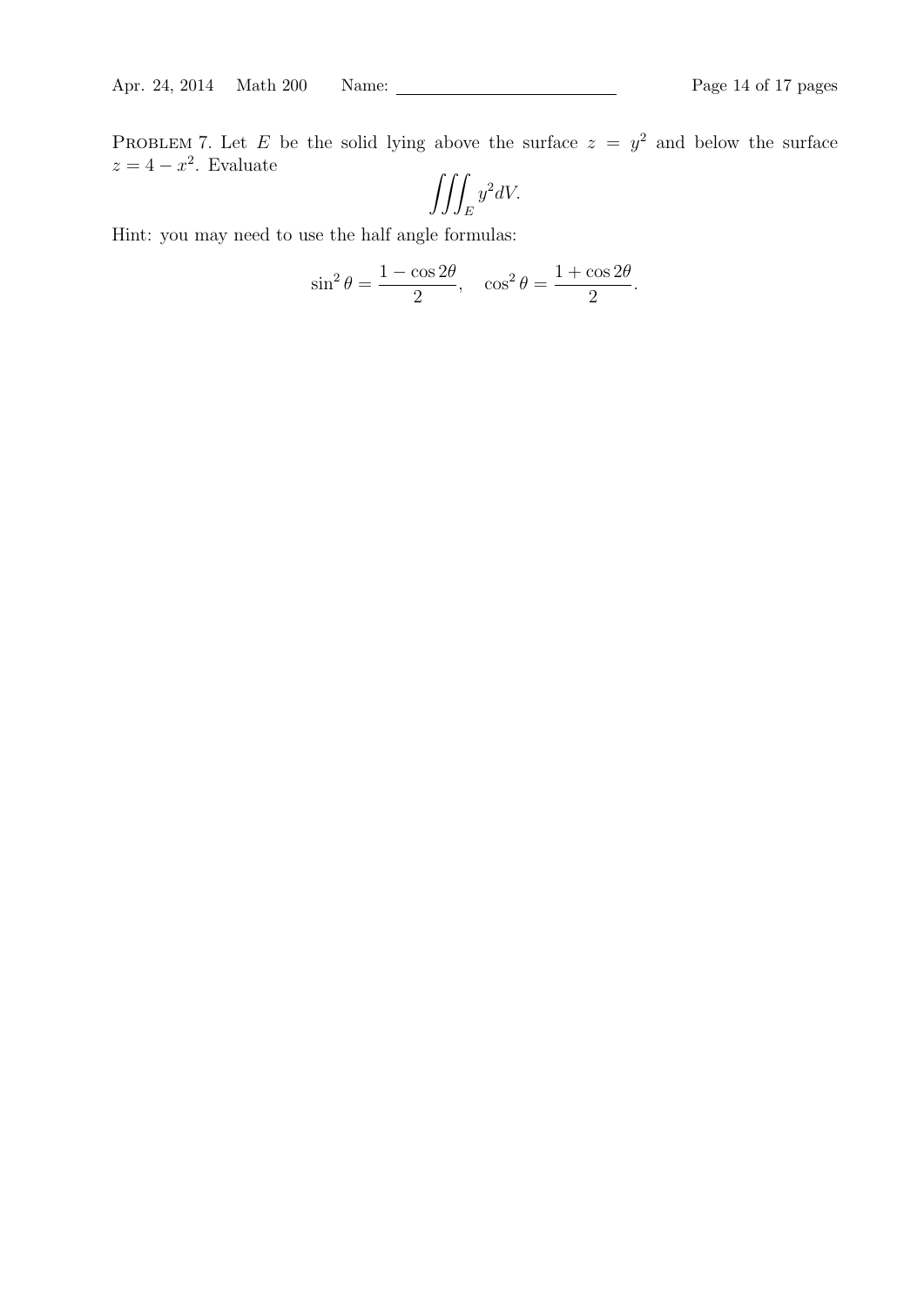PROBLEM 7. Let E be the solid lying above the surface  $z = y^2$  and below the surface  $z = 4 - x^2$ . Evaluate

$$
\iiint_E y^2 dV.
$$

Hint: you may need to use the half angle formulas:

$$
\sin^2 \theta = \frac{1 - \cos 2\theta}{2}, \quad \cos^2 \theta = \frac{1 + \cos 2\theta}{2}.
$$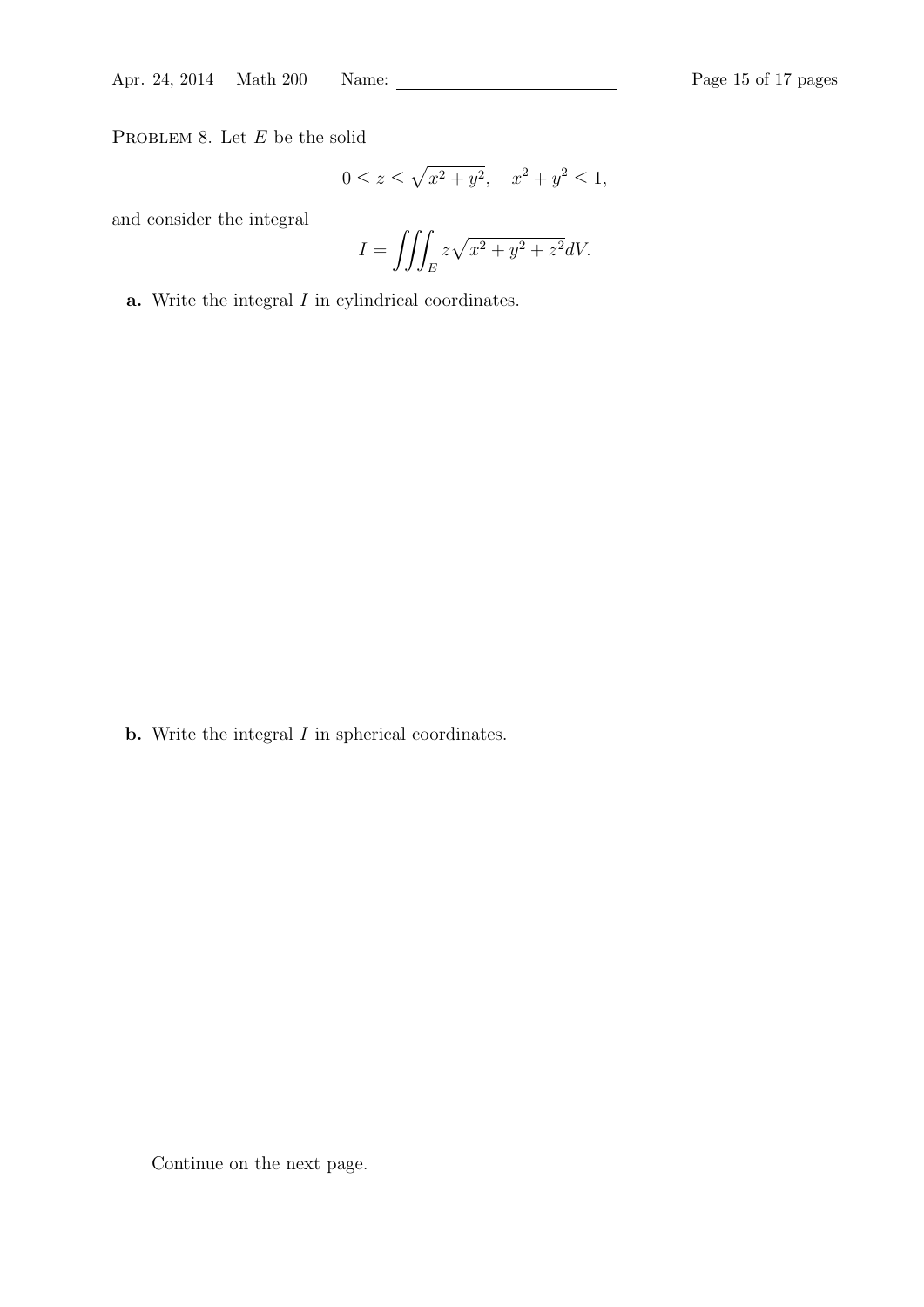Apr. 24, 2014 Math 200 Name: Page 15 of 17 pages

PROBLEM 8. Let  $E$  be the solid

$$
0 \le z \le \sqrt{x^2 + y^2}, \quad x^2 + y^2 \le 1,
$$

and consider the integral

$$
I = \iiint_E z\sqrt{x^2 + y^2 + z^2}dV.
$$

**a.** Write the integral  $I$  in cylindrical coordinates.

**b.** Write the integral  $I$  in spherical coordinates.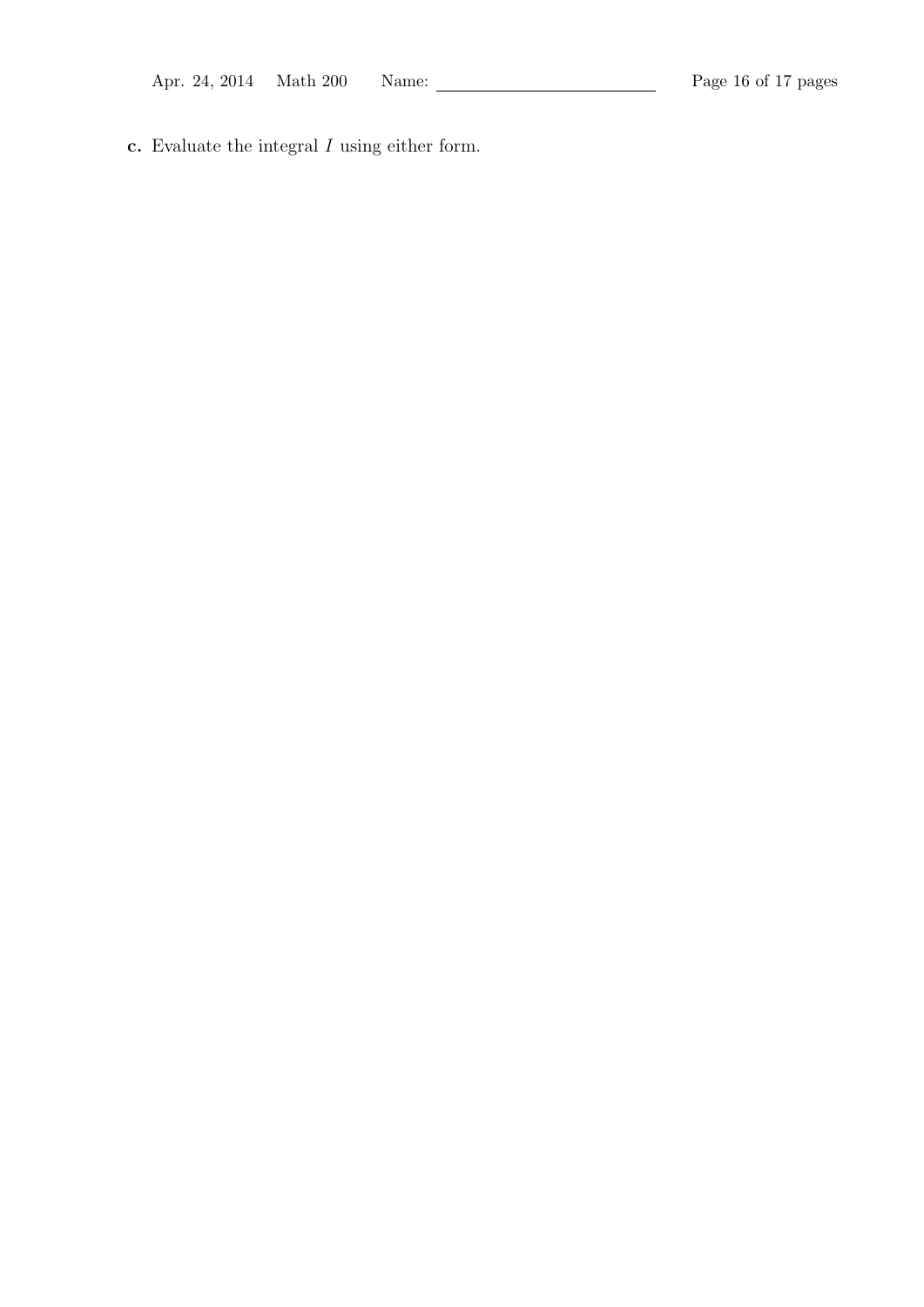c. Evaluate the integral  $I$  using either form.